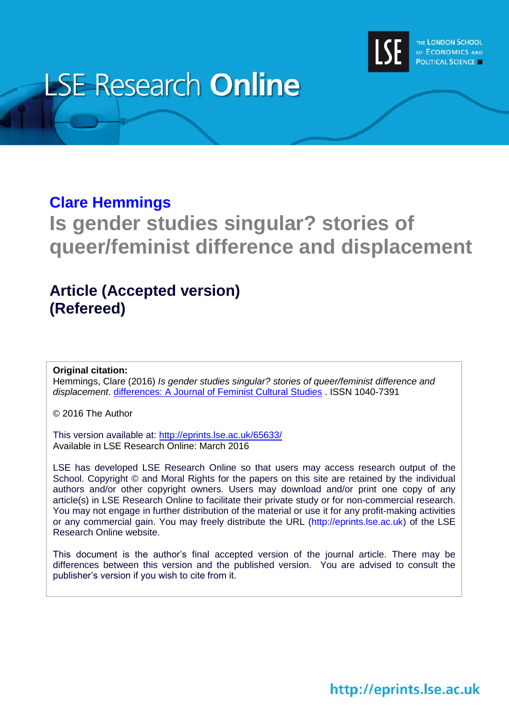

# **LSE Research Online**

# **[Clare Hemmings](http://www.lse.ac.uk/researchAndExpertise/Experts/profile.aspx?KeyValue=c.hemmings@lse.ac.uk)**

**Is gender studies singular? stories of queer/feminist difference and displacement**

# **Article (Accepted version) (Refereed)**

## **Original citation:**

Hemmings, Clare (2016) *Is gender studies singular? stories of queer/feminist difference and displacement*. [differences: A Journal of Feminist Cultural Studies](https://www.dukeupress.edu/differences/) . ISSN 1040-7391

© 2016 The Author

This version available at:<http://eprints.lse.ac.uk/65633/> Available in LSE Research Online: March 2016

LSE has developed LSE Research Online so that users may access research output of the School. Copyright © and Moral Rights for the papers on this site are retained by the individual authors and/or other copyright owners. Users may download and/or print one copy of any article(s) in LSE Research Online to facilitate their private study or for non-commercial research. You may not engage in further distribution of the material or use it for any profit-making activities or any commercial gain. You may freely distribute the URL (http://eprints.lse.ac.uk) of the LSE Research Online website.

This document is the author's final accepted version of the journal article. There may be differences between this version and the published version. You are advised to consult the publisher's version if you wish to cite from it.

http://eprints.lse.ac.uk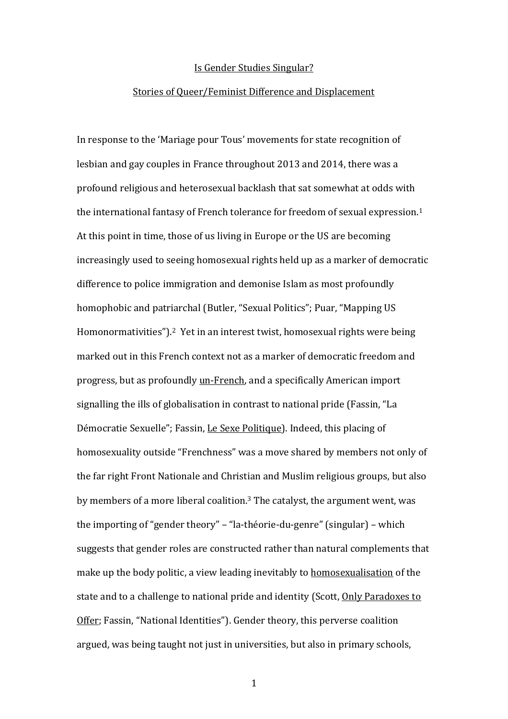#### Is Gender Studies Singular?

#### Stories of Queer/Feminist Difference and Displacement

In response to the 'Mariage pour Tous' movements for state recognition of lesbian and gay couples in France throughout 2013 and 2014, there was a profound religious and heterosexual backlash that sat somewhat at odds with the international fantasy of French tolerance for freedom of sexual expression. 1 At this point in time, those of us living in Europe or the US are becoming increasingly used to seeing homosexual rights held up as a marker of democratic difference to police immigration and demonise Islam as most profoundly homophobic and patriarchal (Butler, "Sexual Politics"; Puar, "Mapping US Homonormativities"). <sup>2</sup> Yet in an interest twist, homosexual rights were being marked out in this French context not as a marker of democratic freedom and progress, but as profoundly un-French, and a specifically American import signalling the ills of globalisation in contrast to national pride (Fassin, "La Démocratie Sexuelle"; Fassin, Le Sexe Politique). Indeed, this placing of homosexuality outside "Frenchness" was a move shared by members not only of the far right Front Nationale and Christian and Muslim religious groups, but also by members of a more liberal coalition.<sup>3</sup> The catalyst, the argument went, was the importing of "gender theory" – "la-théorie-du-genre" (singular) – which suggests that gender roles are constructed rather than natural complements that make up the body politic, a view leading inevitably to homosexualisation of the state and to a challenge to national pride and identity (Scott, Only Paradoxes to Offer; Fassin, "National Identities"). Gender theory, this perverse coalition argued, was being taught not just in universities, but also in primary schools,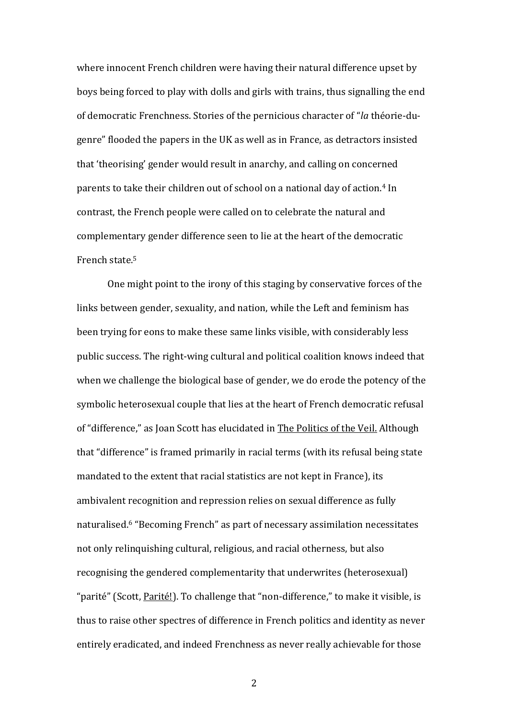where innocent French children were having their natural difference upset by boys being forced to play with dolls and girls with trains, thus signalling the end of democratic Frenchness. Stories of the pernicious character of "*la* théorie-dugenre" flooded the papers in the UK as well as in France, as detractors insisted that 'theorising' gender would result in anarchy, and calling on concerned parents to take their children out of school on a national day of action.<sup>4</sup> In contrast, the French people were called on to celebrate the natural and complementary gender difference seen to lie at the heart of the democratic French state.<sup>5</sup>

One might point to the irony of this staging by conservative forces of the links between gender, sexuality, and nation, while the Left and feminism has been trying for eons to make these same links visible, with considerably less public success. The right-wing cultural and political coalition knows indeed that when we challenge the biological base of gender, we do erode the potency of the symbolic heterosexual couple that lies at the heart of French democratic refusal of "difference," as Joan Scott has elucidated in The Politics of the Veil. Although that "difference" is framed primarily in racial terms (with its refusal being state mandated to the extent that racial statistics are not kept in France), its ambivalent recognition and repression relies on sexual difference as fully naturalised. <sup>6</sup> "Becoming French" as part of necessary assimilation necessitates not only relinquishing cultural, religious, and racial otherness, but also recognising the gendered complementarity that underwrites (heterosexual) "parité" (Scott, Parité!). To challenge that "non-difference," to make it visible, is thus to raise other spectres of difference in French politics and identity as never entirely eradicated, and indeed Frenchness as never really achievable for those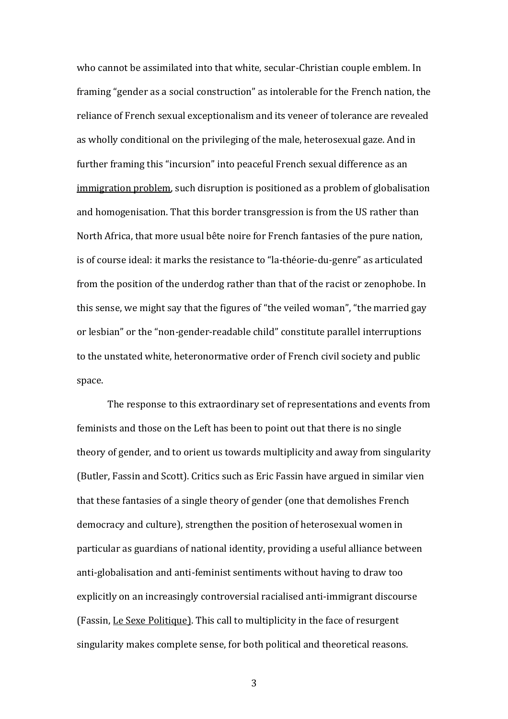who cannot be assimilated into that white, secular-Christian couple emblem. In framing "gender as a social construction" as intolerable for the French nation, the reliance of French sexual exceptionalism and its veneer of tolerance are revealed as wholly conditional on the privileging of the male, heterosexual gaze. And in further framing this "incursion" into peaceful French sexual difference as an immigration problem, such disruption is positioned as a problem of globalisation and homogenisation. That this border transgression is from the US rather than North Africa, that more usual bête noire for French fantasies of the pure nation, is of course ideal: it marks the resistance to "la-théorie-du-genre" as articulated from the position of the underdog rather than that of the racist or zenophobe. In this sense, we might say that the figures of "the veiled woman", "the married gay or lesbian" or the "non-gender-readable child" constitute parallel interruptions to the unstated white, heteronormative order of French civil society and public space.

The response to this extraordinary set of representations and events from feminists and those on the Left has been to point out that there is no single theory of gender, and to orient us towards multiplicity and away from singularity (Butler, Fassin and Scott). Critics such as Eric Fassin have argued in similar vien that these fantasies of a single theory of gender (one that demolishes French democracy and culture), strengthen the position of heterosexual women in particular as guardians of national identity, providing a useful alliance between anti-globalisation and anti-feminist sentiments without having to draw too explicitly on an increasingly controversial racialised anti-immigrant discourse (Fassin, Le Sexe Politique). This call to multiplicity in the face of resurgent singularity makes complete sense, for both political and theoretical reasons.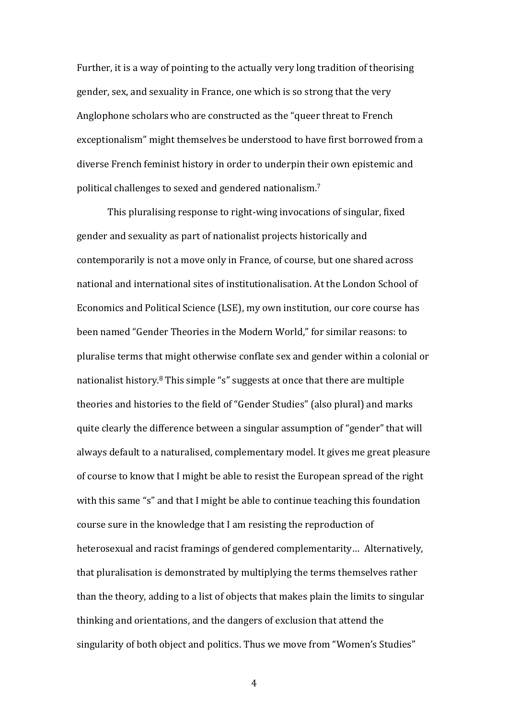Further, it is a way of pointing to the actually very long tradition of theorising gender, sex, and sexuality in France, one which is so strong that the very Anglophone scholars who are constructed as the "queer threat to French exceptionalism" might themselves be understood to have first borrowed from a diverse French feminist history in order to underpin their own epistemic and political challenges to sexed and gendered nationalism. 7

This pluralising response to right-wing invocations of singular, fixed gender and sexuality as part of nationalist projects historically and contemporarily is not a move only in France, of course, but one shared across national and international sites of institutionalisation. At the London School of Economics and Political Science (LSE), my own institution, our core course has been named "Gender Theories in the Modern World," for similar reasons: to pluralise terms that might otherwise conflate sex and gender within a colonial or nationalist history.<sup>8</sup> This simple "s" suggests at once that there are multiple theories and histories to the field of "Gender Studies" (also plural) and marks quite clearly the difference between a singular assumption of "gender" that will always default to a naturalised, complementary model. It gives me great pleasure of course to know that I might be able to resist the European spread of the right with this same "s" and that I might be able to continue teaching this foundation course sure in the knowledge that I am resisting the reproduction of heterosexual and racist framings of gendered complementarity… Alternatively, that pluralisation is demonstrated by multiplying the terms themselves rather than the theory, adding to a list of objects that makes plain the limits to singular thinking and orientations, and the dangers of exclusion that attend the singularity of both object and politics. Thus we move from "Women's Studies"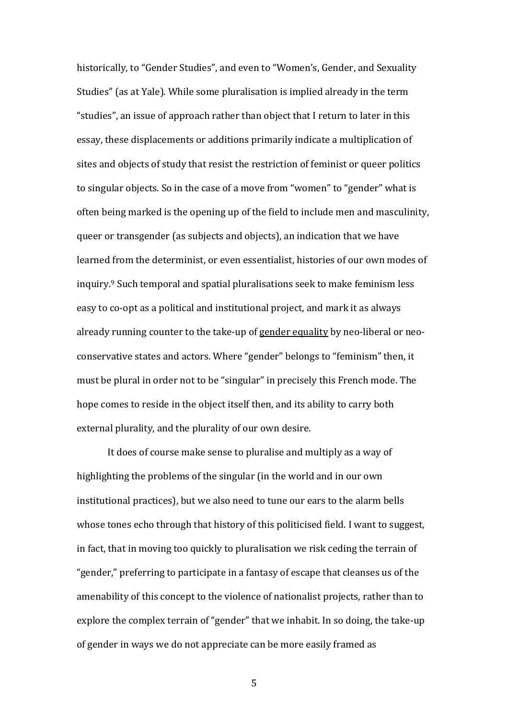historically, to "Gender Studies", and even to "Women's, Gender, and Sexuality Studies" (as at Yale). While some pluralisation is implied already in the term "studies", an issue of approach rather than object that I return to later in this essay, these displacements or additions primarily indicate a multiplication of sites and objects of study that resist the restriction of feminist or queer politics to singular objects. So in the case of a move from "women" to "gender" what is often being marked is the opening up of the field to include men and masculinity, queer or transgender (as subjects and objects), an indication that we have learned from the determinist, or even essentialist, histories of our own modes of inquiry.<sup>9</sup> Such temporal and spatial pluralisations seek to make feminism less easy to co-opt as a political and institutional project, and mark it as always already running counter to the take-up of gender equality by neo-liberal or neoconservative states and actors. Where "gender" belongs to "feminism" then, it must be plural in order not to be "singular" in precisely this French mode. The hope comes to reside in the object itself then, and its ability to carry both external plurality, and the plurality of our own desire.

It does of course make sense to pluralise and multiply as a way of highlighting the problems of the singular (in the world and in our own institutional practices), but we also need to tune our ears to the alarm bells whose tones echo through that history of this politicised field. I want to suggest, in fact, that in moving too quickly to pluralisation we risk ceding the terrain of "gender," preferring to participate in a fantasy of escape that cleanses us of the amenability of this concept to the violence of nationalist projects, rather than to explore the complex terrain of "gender" that we inhabit. In so doing, the take-up of gender in ways we do not appreciate can be more easily framed as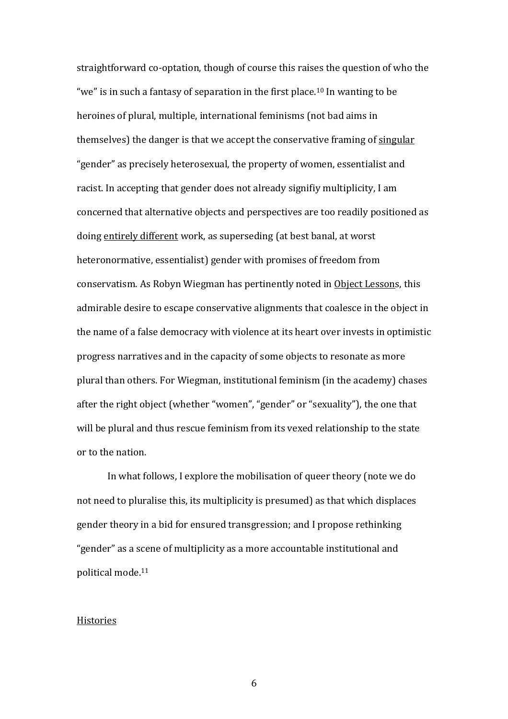straightforward co-optation, though of course this raises the question of who the "we" is in such a fantasy of separation in the first place.<sup>10</sup> In wanting to be heroines of plural, multiple, international feminisms (not bad aims in themselves) the danger is that we accept the conservative framing of singular "gender" as precisely heterosexual, the property of women, essentialist and racist. In accepting that gender does not already signifiy multiplicity, I am concerned that alternative objects and perspectives are too readily positioned as doing entirely different work, as superseding (at best banal, at worst heteronormative, essentialist) gender with promises of freedom from conservatism. As Robyn Wiegman has pertinently noted in Object Lessons, this admirable desire to escape conservative alignments that coalesce in the object in the name of a false democracy with violence at its heart over invests in optimistic progress narratives and in the capacity of some objects to resonate as more plural than others. For Wiegman, institutional feminism (in the academy) chases after the right object (whether "women", "gender" or "sexuality"), the one that will be plural and thus rescue feminism from its vexed relationship to the state or to the nation.

In what follows, I explore the mobilisation of queer theory (note we do not need to pluralise this, its multiplicity is presumed) as that which displaces gender theory in a bid for ensured transgression; and I propose rethinking "gender" as a scene of multiplicity as a more accountable institutional and political mode.<sup>11</sup>

#### Histories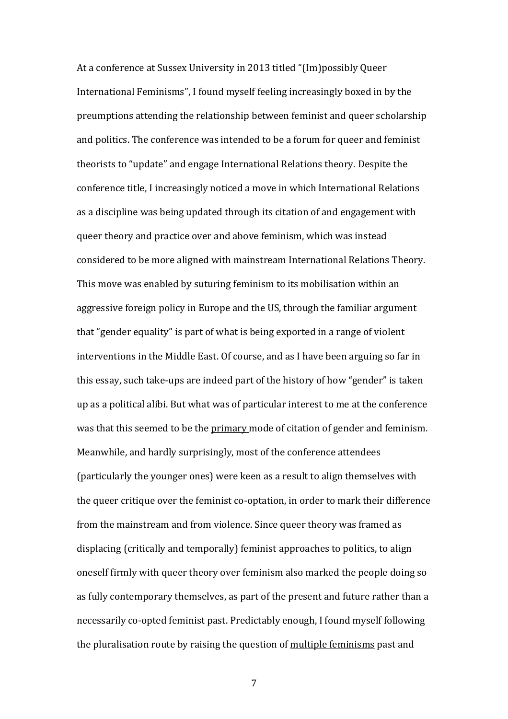At a conference at Sussex University in 2013 titled "(Im)possibly Queer International Feminisms", I found myself feeling increasingly boxed in by the preumptions attending the relationship between feminist and queer scholarship and politics. The conference was intended to be a forum for queer and feminist theorists to "update" and engage International Relations theory. Despite the conference title, I increasingly noticed a move in which International Relations as a discipline was being updated through its citation of and engagement with queer theory and practice over and above feminism, which was instead considered to be more aligned with mainstream International Relations Theory. This move was enabled by suturing feminism to its mobilisation within an aggressive foreign policy in Europe and the US, through the familiar argument that "gender equality" is part of what is being exported in a range of violent interventions in the Middle East. Of course, and as I have been arguing so far in this essay, such take-ups are indeed part of the history of how "gender" is taken up as a political alibi. But what was of particular interest to me at the conference was that this seemed to be the primary mode of citation of gender and feminism. Meanwhile, and hardly surprisingly, most of the conference attendees (particularly the younger ones) were keen as a result to align themselves with the queer critique over the feminist co-optation, in order to mark their difference from the mainstream and from violence. Since queer theory was framed as displacing (critically and temporally) feminist approaches to politics, to align oneself firmly with queer theory over feminism also marked the people doing so as fully contemporary themselves, as part of the present and future rather than a necessarily co-opted feminist past. Predictably enough, I found myself following the pluralisation route by raising the question of multiple feminisms past and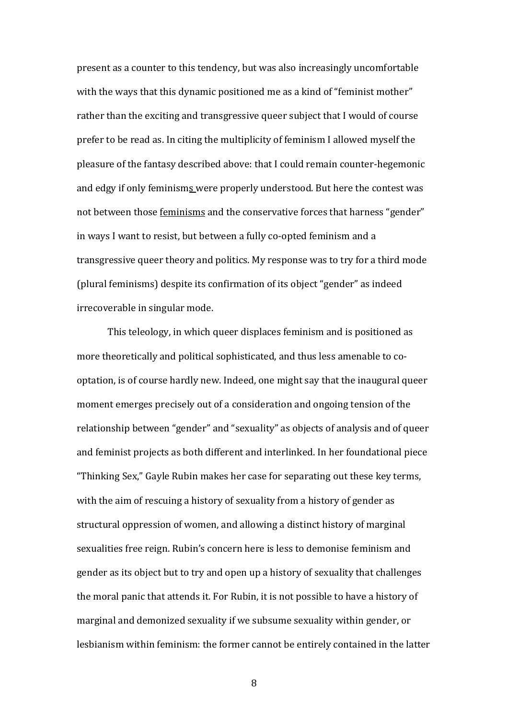present as a counter to this tendency, but was also increasingly uncomfortable with the ways that this dynamic positioned me as a kind of "feminist mother" rather than the exciting and transgressive queer subject that I would of course prefer to be read as. In citing the multiplicity of feminism I allowed myself the pleasure of the fantasy described above: that I could remain counter-hegemonic and edgy if only feminisms were properly understood. But here the contest was not between those feminisms and the conservative forces that harness "gender" in ways I want to resist, but between a fully co-opted feminism and a transgressive queer theory and politics. My response was to try for a third mode (plural feminisms) despite its confirmation of its object "gender" as indeed irrecoverable in singular mode.

This teleology, in which queer displaces feminism and is positioned as more theoretically and political sophisticated, and thus less amenable to cooptation, is of course hardly new. Indeed, one might say that the inaugural queer moment emerges precisely out of a consideration and ongoing tension of the relationship between "gender" and "sexuality" as objects of analysis and of queer and feminist projects as both different and interlinked. In her foundational piece "Thinking Sex," Gayle Rubin makes her case for separating out these key terms, with the aim of rescuing a history of sexuality from a history of gender as structural oppression of women, and allowing a distinct history of marginal sexualities free reign. Rubin's concern here is less to demonise feminism and gender as its object but to try and open up a history of sexuality that challenges the moral panic that attends it. For Rubin, it is not possible to have a history of marginal and demonized sexuality if we subsume sexuality within gender, or lesbianism within feminism: the former cannot be entirely contained in the latter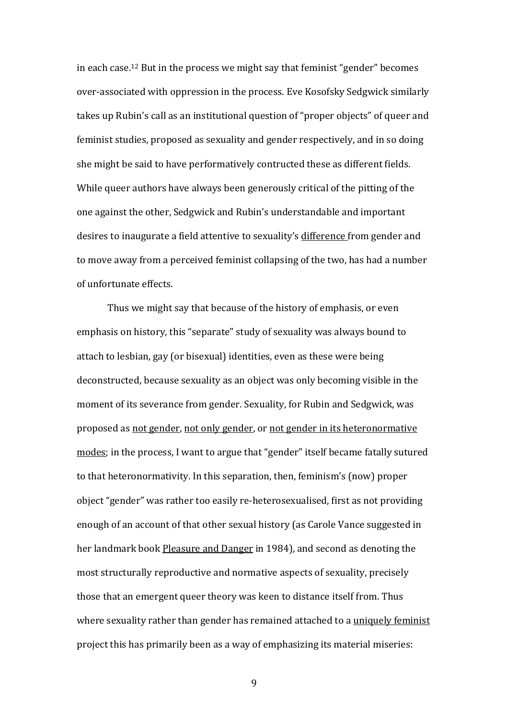in each case.<sup>12</sup> But in the process we might say that feminist "gender" becomes over-associated with oppression in the process. Eve Kosofsky Sedgwick similarly takes up Rubin's call as an institutional question of "proper objects" of queer and feminist studies, proposed as sexuality and gender respectively, and in so doing she might be said to have performatively contructed these as different fields. While queer authors have always been generously critical of the pitting of the one against the other, Sedgwick and Rubin's understandable and important desires to inaugurate a field attentive to sexuality's difference from gender and to move away from a perceived feminist collapsing of the two, has had a number of unfortunate effects.

Thus we might say that because of the history of emphasis, or even emphasis on history, this "separate" study of sexuality was always bound to attach to lesbian, gay (or bisexual) identities, even as these were being deconstructed, because sexuality as an object was only becoming visible in the moment of its severance from gender. Sexuality, for Rubin and Sedgwick, was proposed as not gender, not only gender, or not gender in its heteronormative modes; in the process, I want to argue that "gender" itself became fatally sutured to that heteronormativity. In this separation, then, feminism's (now) proper object "gender" was rather too easily re-heterosexualised, first as not providing enough of an account of that other sexual history (as Carole Vance suggested in her landmark book Pleasure and Danger in 1984), and second as denoting the most structurally reproductive and normative aspects of sexuality, precisely those that an emergent queer theory was keen to distance itself from. Thus where sexuality rather than gender has remained attached to a uniquely feminist project this has primarily been as a way of emphasizing its material miseries: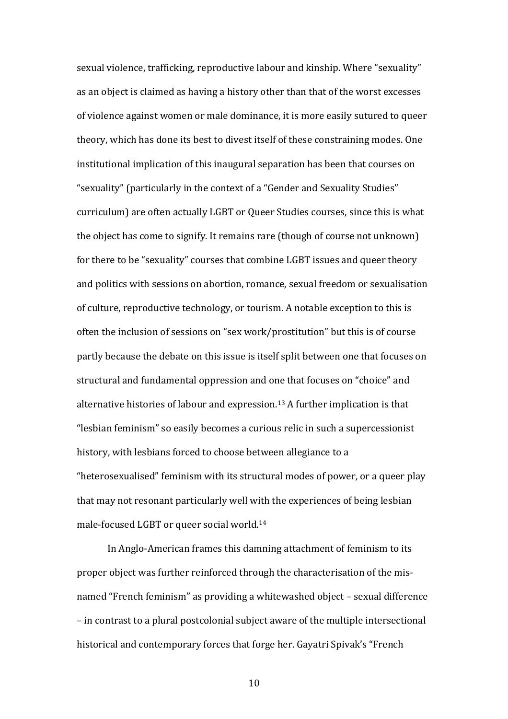sexual violence, trafficking, reproductive labour and kinship. Where "sexuality" as an object is claimed as having a history other than that of the worst excesses of violence against women or male dominance, it is more easily sutured to queer theory, which has done its best to divest itself of these constraining modes. One institutional implication of this inaugural separation has been that courses on "sexuality" (particularly in the context of a "Gender and Sexuality Studies" curriculum) are often actually LGBT or Queer Studies courses, since this is what the object has come to signify. It remains rare (though of course not unknown) for there to be "sexuality" courses that combine LGBT issues and queer theory and politics with sessions on abortion, romance, sexual freedom or sexualisation of culture, reproductive technology, or tourism. A notable exception to this is often the inclusion of sessions on "sex work/prostitution" but this is of course partly because the debate on this issue is itself split between one that focuses on structural and fundamental oppression and one that focuses on "choice" and alternative histories of labour and expression.<sup>13</sup> A further implication is that "lesbian feminism" so easily becomes a curious relic in such a supercessionist history, with lesbians forced to choose between allegiance to a "heterosexualised" feminism with its structural modes of power, or a queer play that may not resonant particularly well with the experiences of being lesbian male-focused LGBT or queer social world.<sup>14</sup>

In Anglo-American frames this damning attachment of feminism to its proper object was further reinforced through the characterisation of the misnamed "French feminism" as providing a whitewashed object – sexual difference – in contrast to a plural postcolonial subject aware of the multiple intersectional historical and contemporary forces that forge her. Gayatri Spivak's "French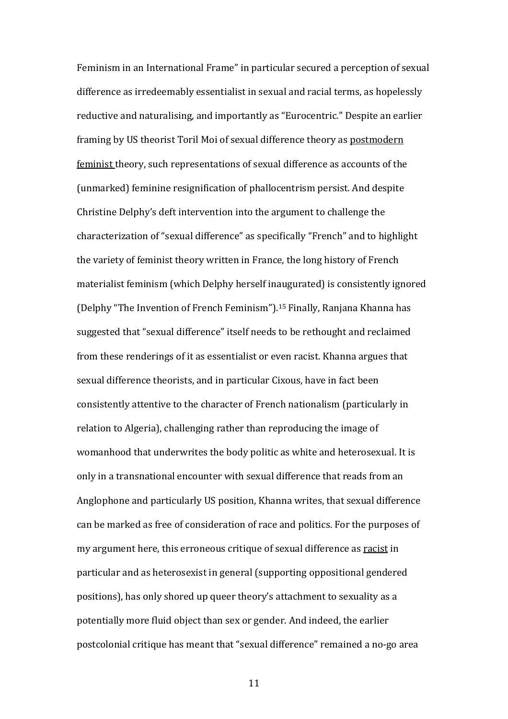Feminism in an International Frame" in particular secured a perception of sexual difference as irredeemably essentialist in sexual and racial terms, as hopelessly reductive and naturalising, and importantly as "Eurocentric." Despite an earlier framing by US theorist Toril Moi of sexual difference theory as postmodern feminist theory, such representations of sexual difference as accounts of the (unmarked) feminine resignification of phallocentrism persist. And despite Christine Delphy's deft intervention into the argument to challenge the characterization of "sexual difference" as specifically "French" and to highlight the variety of feminist theory written in France, the long history of French materialist feminism (which Delphy herself inaugurated) is consistently ignored (Delphy "The Invention of French Feminism"). <sup>15</sup> Finally, Ranjana Khanna has suggested that "sexual difference" itself needs to be rethought and reclaimed from these renderings of it as essentialist or even racist. Khanna argues that sexual difference theorists, and in particular Cixous, have in fact been consistently attentive to the character of French nationalism (particularly in relation to Algeria), challenging rather than reproducing the image of womanhood that underwrites the body politic as white and heterosexual. It is only in a transnational encounter with sexual difference that reads from an Anglophone and particularly US position, Khanna writes, that sexual difference can be marked as free of consideration of race and politics. For the purposes of my argument here, this erroneous critique of sexual difference as racist in particular and as heterosexist in general (supporting oppositional gendered positions), has only shored up queer theory's attachment to sexuality as a potentially more fluid object than sex or gender. And indeed, the earlier postcolonial critique has meant that "sexual difference" remained a no-go area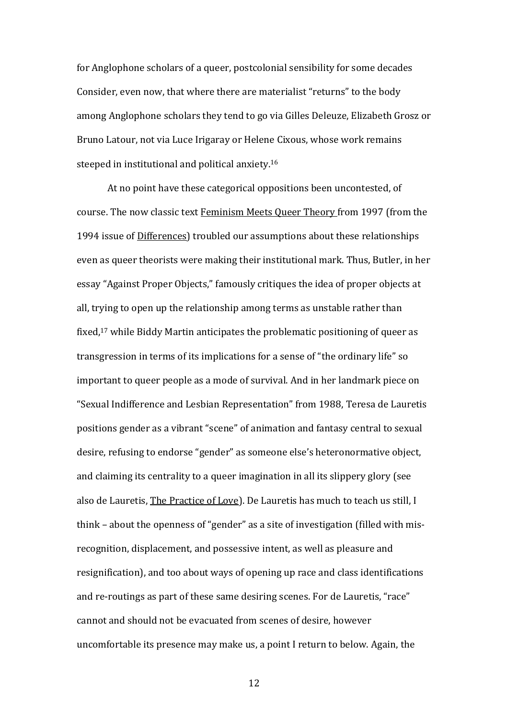for Anglophone scholars of a queer, postcolonial sensibility for some decades Consider, even now, that where there are materialist "returns" to the body among Anglophone scholars they tend to go via Gilles Deleuze, Elizabeth Grosz or Bruno Latour, not via Luce Irigaray or Helene Cixous, whose work remains steeped in institutional and political anxiety.<sup>16</sup>

At no point have these categorical oppositions been uncontested, of course. The now classic text Feminism Meets Queer Theory from 1997 (from the 1994 issue of Differences) troubled our assumptions about these relationships even as queer theorists were making their institutional mark. Thus, Butler, in her essay "Against Proper Objects," famously critiques the idea of proper objects at all, trying to open up the relationship among terms as unstable rather than fixed, <sup>17</sup> while Biddy Martin anticipates the problematic positioning of queer as transgression in terms of its implications for a sense of "the ordinary life" so important to queer people as a mode of survival. And in her landmark piece on "Sexual Indifference and Lesbian Representation" from 1988, Teresa de Lauretis positions gender as a vibrant "scene" of animation and fantasy central to sexual desire, refusing to endorse "gender" as someone else's heteronormative object, and claiming its centrality to a queer imagination in all its slippery glory (see also de Lauretis, The Practice of Love). De Lauretis has much to teach us still, I think – about the openness of "gender" as a site of investigation (filled with misrecognition, displacement, and possessive intent, as well as pleasure and resignification), and too about ways of opening up race and class identifications and re-routings as part of these same desiring scenes. For de Lauretis, "race" cannot and should not be evacuated from scenes of desire, however uncomfortable its presence may make us, a point I return to below. Again, the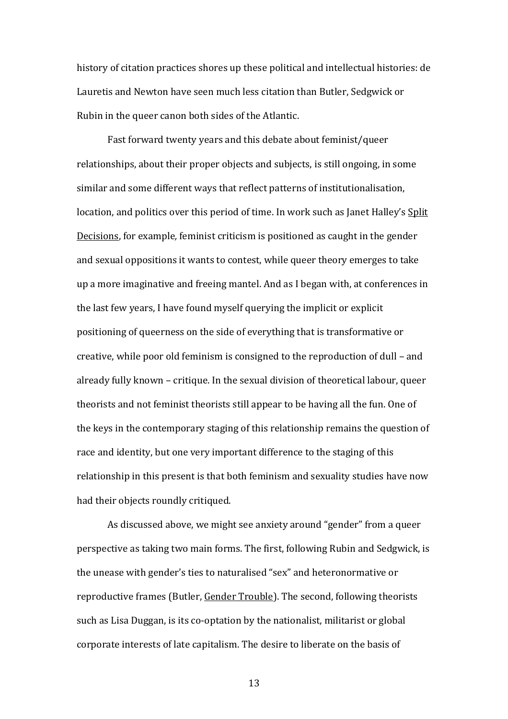history of citation practices shores up these political and intellectual histories: de Lauretis and Newton have seen much less citation than Butler, Sedgwick or Rubin in the queer canon both sides of the Atlantic.

Fast forward twenty years and this debate about feminist/queer relationships, about their proper objects and subjects, is still ongoing, in some similar and some different ways that reflect patterns of institutionalisation, location, and politics over this period of time. In work such as Janet Halley's Split Decisions, for example*,* feminist criticism is positioned as caught in the gender and sexual oppositions it wants to contest, while queer theory emerges to take up a more imaginative and freeing mantel. And as I began with, at conferences in the last few years, I have found myself querying the implicit or explicit positioning of queerness on the side of everything that is transformative or creative, while poor old feminism is consigned to the reproduction of dull – and already fully known – critique. In the sexual division of theoretical labour, queer theorists and not feminist theorists still appear to be having all the fun. One of the keys in the contemporary staging of this relationship remains the question of race and identity, but one very important difference to the staging of this relationship in this present is that both feminism and sexuality studies have now had their objects roundly critiqued.

As discussed above, we might see anxiety around "gender" from a queer perspective as taking two main forms. The first, following Rubin and Sedgwick, is the unease with gender's ties to naturalised "sex" and heteronormative or reproductive frames (Butler, Gender Trouble). The second, following theorists such as Lisa Duggan, is its co-optation by the nationalist, militarist or global corporate interests of late capitalism. The desire to liberate on the basis of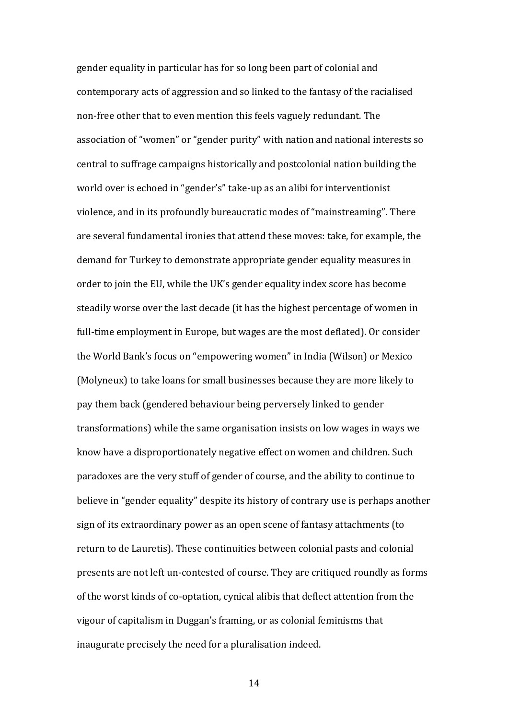gender equality in particular has for so long been part of colonial and contemporary acts of aggression and so linked to the fantasy of the racialised non-free other that to even mention this feels vaguely redundant. The association of "women" or "gender purity" with nation and national interests so central to suffrage campaigns historically and postcolonial nation building the world over is echoed in "gender's" take-up as an alibi for interventionist violence, and in its profoundly bureaucratic modes of "mainstreaming". There are several fundamental ironies that attend these moves: take, for example, the demand for Turkey to demonstrate appropriate gender equality measures in order to join the EU, while the UK's gender equality index score has become steadily worse over the last decade (it has the highest percentage of women in full-time employment in Europe, but wages are the most deflated). Or consider the World Bank's focus on "empowering women" in India (Wilson) or Mexico (Molyneux) to take loans for small businesses because they are more likely to pay them back (gendered behaviour being perversely linked to gender transformations) while the same organisation insists on low wages in ways we know have a disproportionately negative effect on women and children. Such paradoxes are the very stuff of gender of course, and the ability to continue to believe in "gender equality" despite its history of contrary use is perhaps another sign of its extraordinary power as an open scene of fantasy attachments (to return to de Lauretis). These continuities between colonial pasts and colonial presents are not left un-contested of course. They are critiqued roundly as forms of the worst kinds of co-optation, cynical alibis that deflect attention from the vigour of capitalism in Duggan's framing, or as colonial feminisms that inaugurate precisely the need for a pluralisation indeed.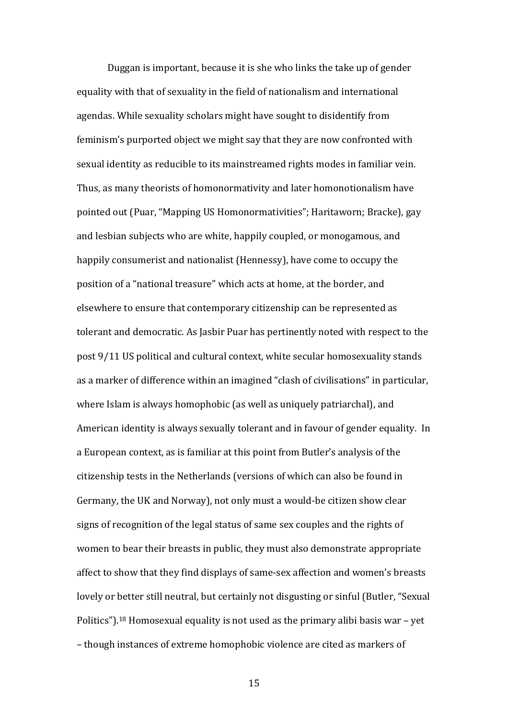Duggan is important, because it is she who links the take up of gender equality with that of sexuality in the field of nationalism and international agendas. While sexuality scholars might have sought to disidentify from feminism's purported object we might say that they are now confronted with sexual identity as reducible to its mainstreamed rights modes in familiar vein. Thus, as many theorists of homonormativity and later homonotionalism have pointed out (Puar, "Mapping US Homonormativities"; Haritaworn; Bracke), gay and lesbian subjects who are white, happily coupled, or monogamous, and happily consumerist and nationalist (Hennessy), have come to occupy the position of a "national treasure" which acts at home, at the border, and elsewhere to ensure that contemporary citizenship can be represented as tolerant and democratic. As Jasbir Puar has pertinently noted with respect to the post 9/11 US political and cultural context, white secular homosexuality stands as a marker of difference within an imagined "clash of civilisations" in particular, where Islam is always homophobic (as well as uniquely patriarchal), and American identity is always sexually tolerant and in favour of gender equality. In a European context, as is familiar at this point from Butler's analysis of the citizenship tests in the Netherlands (versions of which can also be found in Germany, the UK and Norway), not only must a would-be citizen show clear signs of recognition of the legal status of same sex couples and the rights of women to bear their breasts in public, they must also demonstrate appropriate affect to show that they find displays of same-sex affection and women's breasts lovely or better still neutral, but certainly not disgusting or sinful (Butler, "Sexual Politics").<sup>18</sup> Homosexual equality is not used as the primary alibi basis war – yet – though instances of extreme homophobic violence are cited as markers of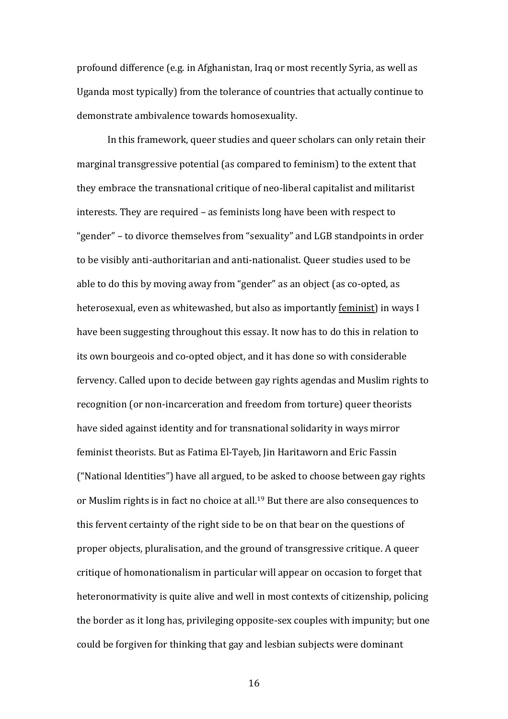profound difference (e.g. in Afghanistan, Iraq or most recently Syria, as well as Uganda most typically) from the tolerance of countries that actually continue to demonstrate ambivalence towards homosexuality.

In this framework, queer studies and queer scholars can only retain their marginal transgressive potential (as compared to feminism) to the extent that they embrace the transnational critique of neo-liberal capitalist and militarist interests. They are required – as feminists long have been with respect to "gender" – to divorce themselves from "sexuality" and LGB standpoints in order to be visibly anti-authoritarian and anti-nationalist. Queer studies used to be able to do this by moving away from "gender" as an object (as co-opted, as heterosexual, even as whitewashed, but also as importantly feminist) in ways I have been suggesting throughout this essay. It now has to do this in relation to its own bourgeois and co-opted object, and it has done so with considerable fervency. Called upon to decide between gay rights agendas and Muslim rights to recognition (or non-incarceration and freedom from torture) queer theorists have sided against identity and for transnational solidarity in ways mirror feminist theorists. But as Fatima El-Tayeb, Jin Haritaworn and Eric Fassin ("National Identities") have all argued, to be asked to choose between gay rights or Muslim rights is in fact no choice at all. <sup>19</sup> But there are also consequences to this fervent certainty of the right side to be on that bear on the questions of proper objects, pluralisation, and the ground of transgressive critique. A queer critique of homonationalism in particular will appear on occasion to forget that heteronormativity is quite alive and well in most contexts of citizenship, policing the border as it long has, privileging opposite-sex couples with impunity; but one could be forgiven for thinking that gay and lesbian subjects were dominant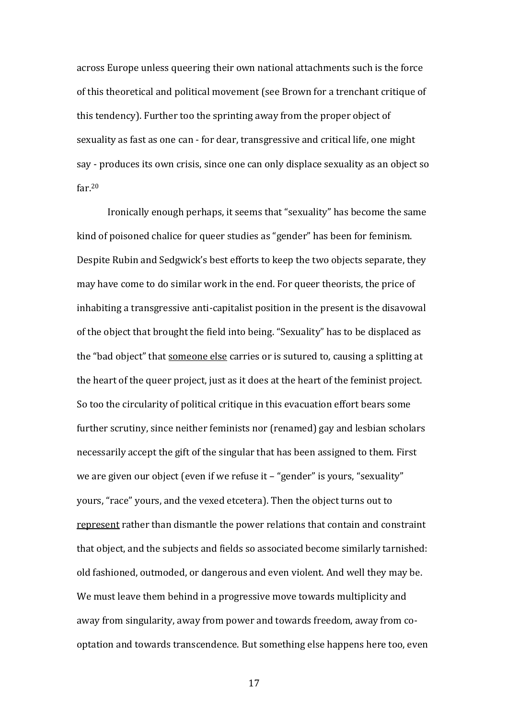across Europe unless queering their own national attachments such is the force of this theoretical and political movement (see Brown for a trenchant critique of this tendency). Further too the sprinting away from the proper object of sexuality as fast as one can - for dear, transgressive and critical life, one might say - produces its own crisis, since one can only displace sexuality as an object so far.<sup>20</sup>

Ironically enough perhaps, it seems that "sexuality" has become the same kind of poisoned chalice for queer studies as "gender" has been for feminism. Despite Rubin and Sedgwick's best efforts to keep the two objects separate, they may have come to do similar work in the end. For queer theorists, the price of inhabiting a transgressive anti-capitalist position in the present is the disavowal of the object that brought the field into being. "Sexuality" has to be displaced as the "bad object" that someone else carries or is sutured to, causing a splitting at the heart of the queer project, just as it does at the heart of the feminist project. So too the circularity of political critique in this evacuation effort bears some further scrutiny, since neither feminists nor (renamed) gay and lesbian scholars necessarily accept the gift of the singular that has been assigned to them. First we are given our object (even if we refuse it – "gender" is yours, "sexuality" yours, "race" yours, and the vexed etcetera). Then the object turns out to represent rather than dismantle the power relations that contain and constraint that object, and the subjects and fields so associated become similarly tarnished: old fashioned, outmoded, or dangerous and even violent. And well they may be. We must leave them behind in a progressive move towards multiplicity and away from singularity, away from power and towards freedom, away from cooptation and towards transcendence. But something else happens here too, even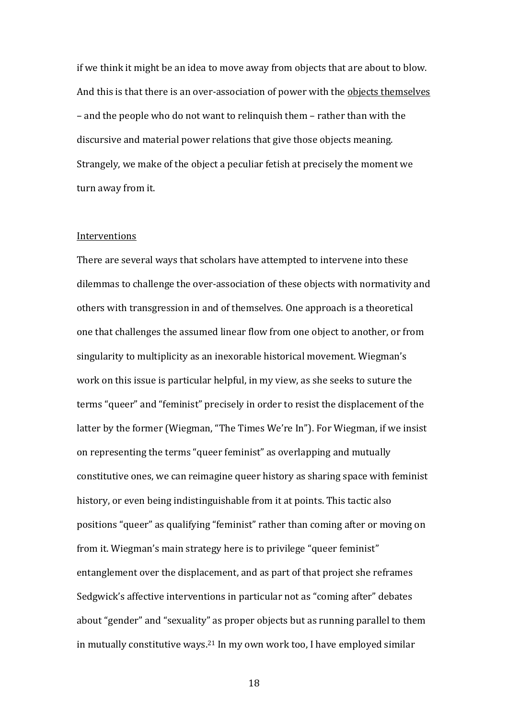if we think it might be an idea to move away from objects that are about to blow. And this is that there is an over-association of power with the objects themselves – and the people who do not want to relinquish them – rather than with the discursive and material power relations that give those objects meaning. Strangely, we make of the object a peculiar fetish at precisely the moment we turn away from it.

#### **Interventions**

There are several ways that scholars have attempted to intervene into these dilemmas to challenge the over-association of these objects with normativity and others with transgression in and of themselves. One approach is a theoretical one that challenges the assumed linear flow from one object to another, or from singularity to multiplicity as an inexorable historical movement. Wiegman's work on this issue is particular helpful, in my view, as she seeks to suture the terms "queer" and "feminist" precisely in order to resist the displacement of the latter by the former (Wiegman, "The Times We're In"). For Wiegman, if we insist on representing the terms "queer feminist" as overlapping and mutually constitutive ones, we can reimagine queer history as sharing space with feminist history, or even being indistinguishable from it at points. This tactic also positions "queer" as qualifying "feminist" rather than coming after or moving on from it. Wiegman's main strategy here is to privilege "queer feminist" entanglement over the displacement, and as part of that project she reframes Sedgwick's affective interventions in particular not as "coming after" debates about "gender" and "sexuality" as proper objects but as running parallel to them in mutually constitutive ways. <sup>21</sup> In my own work too, I have employed similar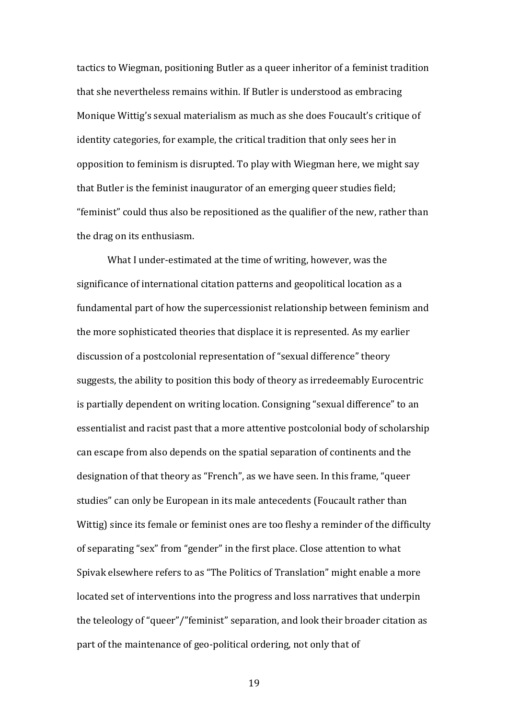tactics to Wiegman, positioning Butler as a queer inheritor of a feminist tradition that she nevertheless remains within. If Butler is understood as embracing Monique Wittig's sexual materialism as much as she does Foucault's critique of identity categories, for example, the critical tradition that only sees her in opposition to feminism is disrupted. To play with Wiegman here, we might say that Butler is the feminist inaugurator of an emerging queer studies field; "feminist" could thus also be repositioned as the qualifier of the new, rather than the drag on its enthusiasm.

What I under-estimated at the time of writing, however, was the significance of international citation patterns and geopolitical location as a fundamental part of how the supercessionist relationship between feminism and the more sophisticated theories that displace it is represented. As my earlier discussion of a postcolonial representation of "sexual difference" theory suggests, the ability to position this body of theory as irredeemably Eurocentric is partially dependent on writing location. Consigning "sexual difference" to an essentialist and racist past that a more attentive postcolonial body of scholarship can escape from also depends on the spatial separation of continents and the designation of that theory as "French", as we have seen. In this frame, "queer studies" can only be European in its male antecedents (Foucault rather than Wittig) since its female or feminist ones are too fleshy a reminder of the difficulty of separating "sex" from "gender" in the first place. Close attention to what Spivak elsewhere refers to as "The Politics of Translation" might enable a more located set of interventions into the progress and loss narratives that underpin the teleology of "queer"/"feminist" separation, and look their broader citation as part of the maintenance of geo-political ordering, not only that of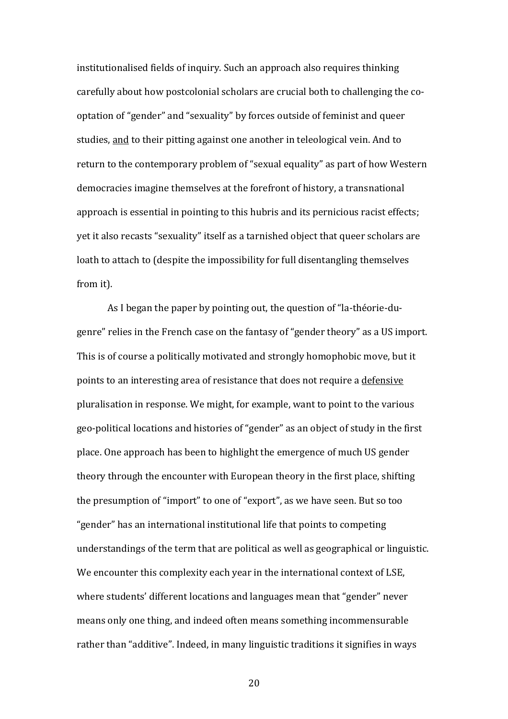institutionalised fields of inquiry. Such an approach also requires thinking carefully about how postcolonial scholars are crucial both to challenging the cooptation of "gender" and "sexuality" by forces outside of feminist and queer studies, and to their pitting against one another in teleological vein. And to return to the contemporary problem of "sexual equality" as part of how Western democracies imagine themselves at the forefront of history, a transnational approach is essential in pointing to this hubris and its pernicious racist effects; yet it also recasts "sexuality" itself as a tarnished object that queer scholars are loath to attach to (despite the impossibility for full disentangling themselves from it).

As I began the paper by pointing out, the question of "la-théorie-dugenre" relies in the French case on the fantasy of "gender theory" as a US import. This is of course a politically motivated and strongly homophobic move, but it points to an interesting area of resistance that does not require a defensive pluralisation in response. We might, for example, want to point to the various geo-political locations and histories of "gender" as an object of study in the first place. One approach has been to highlight the emergence of much US gender theory through the encounter with European theory in the first place, shifting the presumption of "import" to one of "export", as we have seen. But so too "gender" has an international institutional life that points to competing understandings of the term that are political as well as geographical or linguistic. We encounter this complexity each year in the international context of LSE, where students' different locations and languages mean that "gender" never means only one thing, and indeed often means something incommensurable rather than "additive". Indeed, in many linguistic traditions it signifies in ways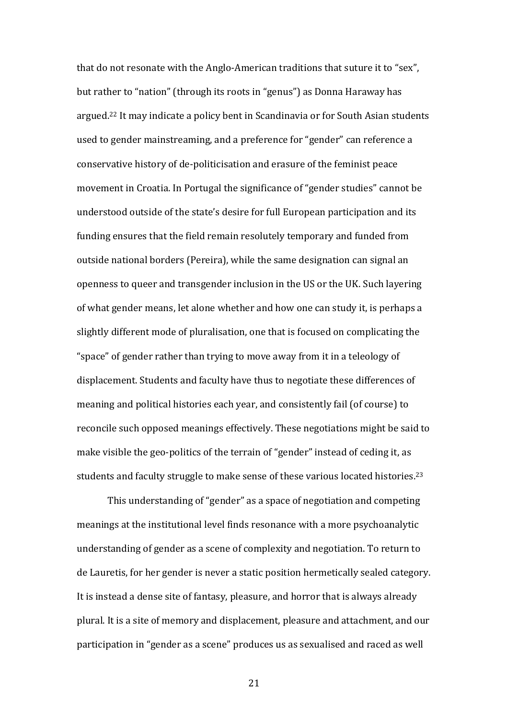that do not resonate with the Anglo-American traditions that suture it to "sex", but rather to "nation" (through its roots in "genus") as Donna Haraway has argued.<sup>22</sup> It may indicate a policy bent in Scandinavia or for South Asian students used to gender mainstreaming, and a preference for "gender" can reference a conservative history of de-politicisation and erasure of the feminist peace movement in Croatia. In Portugal the significance of "gender studies" cannot be understood outside of the state's desire for full European participation and its funding ensures that the field remain resolutely temporary and funded from outside national borders (Pereira), while the same designation can signal an openness to queer and transgender inclusion in the US or the UK. Such layering of what gender means, let alone whether and how one can study it, is perhaps a slightly different mode of pluralisation, one that is focused on complicating the "space" of gender rather than trying to move away from it in a teleology of displacement. Students and faculty have thus to negotiate these differences of meaning and political histories each year, and consistently fail (of course) to reconcile such opposed meanings effectively. These negotiations might be said to make visible the geo-politics of the terrain of "gender" instead of ceding it, as students and faculty struggle to make sense of these various located histories. 23

This understanding of "gender" as a space of negotiation and competing meanings at the institutional level finds resonance with a more psychoanalytic understanding of gender as a scene of complexity and negotiation. To return to de Lauretis, for her gender is never a static position hermetically sealed category. It is instead a dense site of fantasy, pleasure, and horror that is always already plural. It is a site of memory and displacement, pleasure and attachment, and our participation in "gender as a scene" produces us as sexualised and raced as well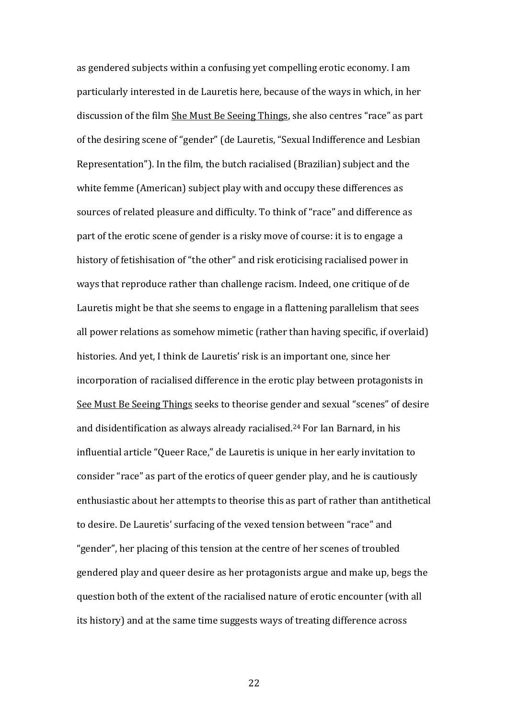as gendered subjects within a confusing yet compelling erotic economy. I am particularly interested in de Lauretis here, because of the ways in which, in her discussion of the film She Must Be Seeing Things, she also centres "race" as part of the desiring scene of "gender" (de Lauretis, "Sexual Indifference and Lesbian Representation"). In the film, the butch racialised (Brazilian) subject and the white femme (American) subject play with and occupy these differences as sources of related pleasure and difficulty. To think of "race" and difference as part of the erotic scene of gender is a risky move of course: it is to engage a history of fetishisation of "the other" and risk eroticising racialised power in ways that reproduce rather than challenge racism. Indeed, one critique of de Lauretis might be that she seems to engage in a flattening parallelism that sees all power relations as somehow mimetic (rather than having specific, if overlaid) histories. And yet, I think de Lauretis' risk is an important one, since her incorporation of racialised difference in the erotic play between protagonists in See Must Be Seeing Things seeks to theorise gender and sexual "scenes" of desire and disidentification as always already racialised. <sup>24</sup> For Ian Barnard, in his influential article "Queer Race," de Lauretis is unique in her early invitation to consider "race" as part of the erotics of queer gender play, and he is cautiously enthusiastic about her attempts to theorise this as part of rather than antithetical to desire. De Lauretis' surfacing of the vexed tension between "race" and "gender", her placing of this tension at the centre of her scenes of troubled gendered play and queer desire as her protagonists argue and make up, begs the question both of the extent of the racialised nature of erotic encounter (with all its history) and at the same time suggests ways of treating difference across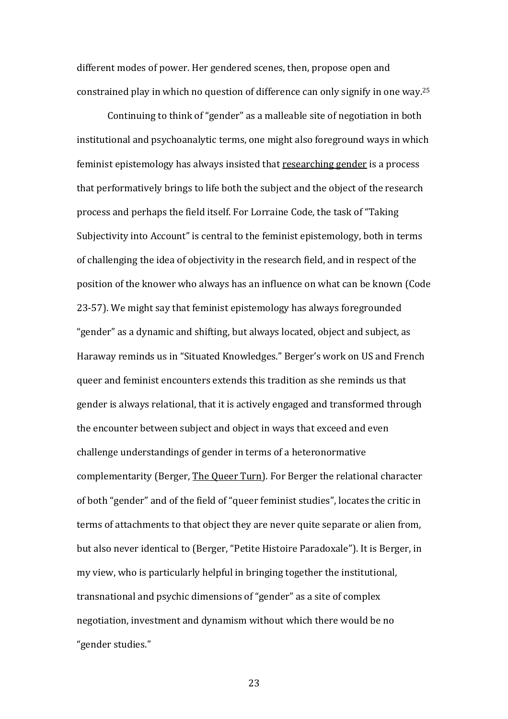different modes of power. Her gendered scenes, then, propose open and constrained play in which no question of difference can only signify in one way.<sup>25</sup>

Continuing to think of "gender" as a malleable site of negotiation in both institutional and psychoanalytic terms, one might also foreground ways in which feminist epistemology has always insisted that researching gender is a process that performatively brings to life both the subject and the object of the research process and perhaps the field itself. For Lorraine Code, the task of "Taking Subjectivity into Account" is central to the feminist epistemology, both in terms of challenging the idea of objectivity in the research field, and in respect of the position of the knower who always has an influence on what can be known (Code 23-57). We might say that feminist epistemology has always foregrounded "gender" as a dynamic and shifting, but always located, object and subject, as Haraway reminds us in "Situated Knowledges." Berger's work on US and French queer and feminist encounters extends this tradition as she reminds us that gender is always relational, that it is actively engaged and transformed through the encounter between subject and object in ways that exceed and even challenge understandings of gender in terms of a heteronormative complementarity (Berger, The Queer Turn). For Berger the relational character of both "gender" and of the field of "queer feminist studies", locates the critic in terms of attachments to that object they are never quite separate or alien from, but also never identical to (Berger, "Petite Histoire Paradoxale"). It is Berger, in my view, who is particularly helpful in bringing together the institutional, transnational and psychic dimensions of "gender" as a site of complex negotiation, investment and dynamism without which there would be no "gender studies."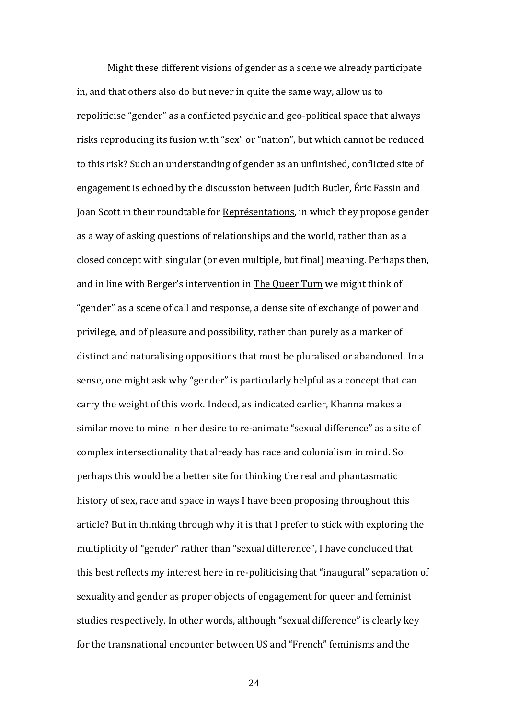Might these different visions of gender as a scene we already participate in, and that others also do but never in quite the same way, allow us to repoliticise "gender" as a conflicted psychic and geo-political space that always risks reproducing its fusion with "sex" or "nation", but which cannot be reduced to this risk? Such an understanding of gender as an unfinished, conflicted site of engagement is echoed by the discussion between Judith Butler, Éric Fassin and Joan Scott in their roundtable for Représentations, in which they propose gender as a way of asking questions of relationships and the world, rather than as a closed concept with singular (or even multiple, but final) meaning. Perhaps then, and in line with Berger's intervention in The Queer Turn we might think of "gender" as a scene of call and response, a dense site of exchange of power and privilege, and of pleasure and possibility, rather than purely as a marker of distinct and naturalising oppositions that must be pluralised or abandoned. In a sense, one might ask why "gender" is particularly helpful as a concept that can carry the weight of this work. Indeed, as indicated earlier, Khanna makes a similar move to mine in her desire to re-animate "sexual difference" as a site of complex intersectionality that already has race and colonialism in mind. So perhaps this would be a better site for thinking the real and phantasmatic history of sex, race and space in ways I have been proposing throughout this article? But in thinking through why it is that I prefer to stick with exploring the multiplicity of "gender" rather than "sexual difference", I have concluded that this best reflects my interest here in re-politicising that "inaugural" separation of sexuality and gender as proper objects of engagement for queer and feminist studies respectively. In other words, although "sexual difference" is clearly key for the transnational encounter between US and "French" feminisms and the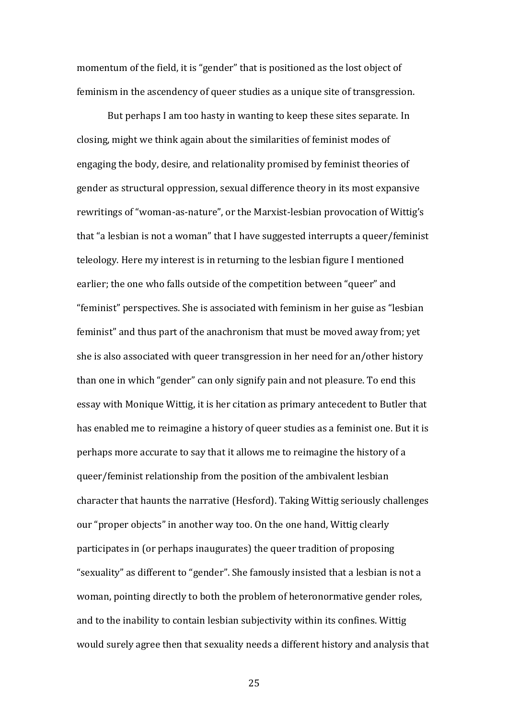momentum of the field, it is "gender" that is positioned as the lost object of feminism in the ascendency of queer studies as a unique site of transgression.

But perhaps I am too hasty in wanting to keep these sites separate. In closing, might we think again about the similarities of feminist modes of engaging the body, desire, and relationality promised by feminist theories of gender as structural oppression, sexual difference theory in its most expansive rewritings of "woman-as-nature", or the Marxist-lesbian provocation of Wittig's that "a lesbian is not a woman" that I have suggested interrupts a queer/feminist teleology. Here my interest is in returning to the lesbian figure I mentioned earlier; the one who falls outside of the competition between "queer" and "feminist" perspectives. She is associated with feminism in her guise as "lesbian feminist" and thus part of the anachronism that must be moved away from; yet she is also associated with queer transgression in her need for an/other history than one in which "gender" can only signify pain and not pleasure. To end this essay with Monique Wittig, it is her citation as primary antecedent to Butler that has enabled me to reimagine a history of queer studies as a feminist one. But it is perhaps more accurate to say that it allows me to reimagine the history of a queer/feminist relationship from the position of the ambivalent lesbian character that haunts the narrative (Hesford). Taking Wittig seriously challenges our "proper objects" in another way too. On the one hand, Wittig clearly participates in (or perhaps inaugurates) the queer tradition of proposing "sexuality" as different to "gender". She famously insisted that a lesbian is not a woman, pointing directly to both the problem of heteronormative gender roles, and to the inability to contain lesbian subjectivity within its confines. Wittig would surely agree then that sexuality needs a different history and analysis that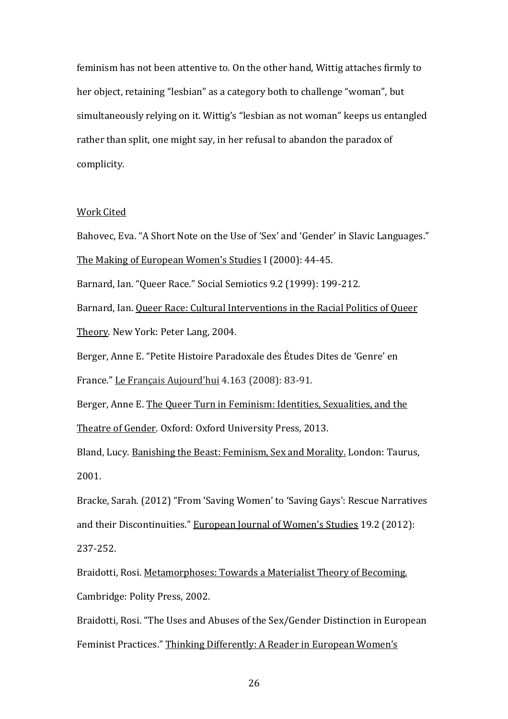feminism has not been attentive to. On the other hand, Wittig attaches firmly to her object, retaining "lesbian" as a category both to challenge "woman", but simultaneously relying on it. Wittig's "lesbian as not woman" keeps us entangled rather than split, one might say, in her refusal to abandon the paradox of complicity.

## Work Cited

Bahovec, Eva. "A Short Note on the Use of 'Sex' and 'Gender' in Slavic Languages." The Making of European Women's Studies I (2000): 44-45.

Barnard, Ian. "Queer Race." Social Semiotics 9.2 (1999): 199-212.

Barnard, Ian. Queer Race: Cultural Interventions in the Racial Politics of Queer Theory. New York: Peter Lang, 2004.

Berger, Anne E. "Petite Histoire Paradoxale des Études Dites de 'Genre' en

France." Le Français Aujourd'hui 4.163 (2008): 83-91.

Berger, Anne E. The Queer Turn in Feminism: Identities, Sexualities, and the Theatre of Gender. Oxford: Oxford University Press, 2013.

Bland, Lucy. Banishing the Beast: Feminism, Sex and Morality. London: Taurus, 2001.

Bracke, Sarah. (2012) "From 'Saving Women' to 'Saving Gays': Rescue Narratives and their Discontinuities." European Journal of Women's Studies 19.2 (2012): 237-252.

Braidotti, Rosi. Metamorphoses: Towards a Materialist Theory of Becoming. Cambridge: Polity Press, 2002.

Braidotti, Rosi. "The Uses and Abuses of the Sex/Gender Distinction in European Feminist Practices." Thinking Differently: A Reader in European Women's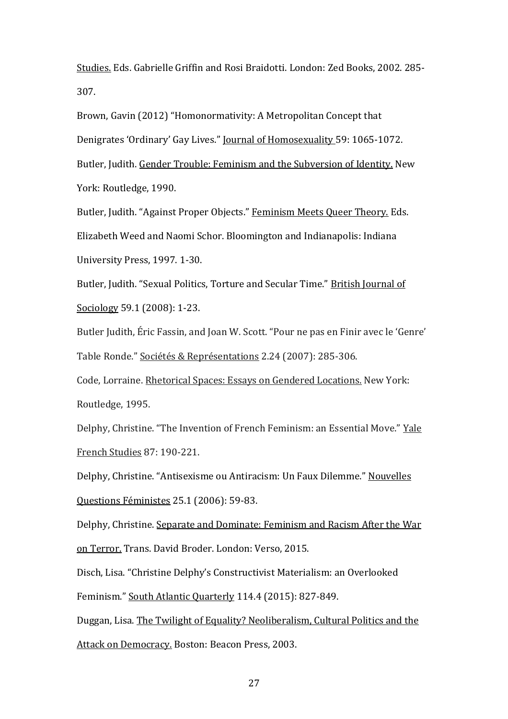Studies. Eds. Gabrielle Griffin and Rosi Braidotti. London: Zed Books, 2002. 285- 307.

Brown, Gavin (2012) "Homonormativity: A Metropolitan Concept that Denigrates 'Ordinary' Gay Lives." Journal of Homosexuality 59: 1065-1072. Butler, Judith. Gender Trouble: Feminism and the Subversion of Identity. New York: Routledge, 1990.

Butler, Judith. "Against Proper Objects." Feminism Meets Queer Theory. Eds. Elizabeth Weed and Naomi Schor. Bloomington and Indianapolis: Indiana University Press, 1997. 1-30.

Butler, Judith. "Sexual Politics, Torture and Secular Time." British Journal of Sociology 59.1 (2008): 1-23.

Butler Judith, Éric Fassin, and Joan W. Scott. "Pour ne pas en Finir avec le 'Genre' Table Ronde." Sociétés & Représentations 2.24 (2007): 285-306.

Code, Lorraine. Rhetorical Spaces: Essays on Gendered Locations. New York: Routledge, 1995.

Delphy, Christine. "The Invention of French Feminism: an Essential Move." Yale French Studies 87: 190-221.

Delphy, Christine. "Antisexisme ou Antiracism: Un Faux Dilemme." Nouvelles Questions Féministes 25.1 (2006): 59-83.

Delphy, Christine. Separate and Dominate: Feminism and Racism After the War on Terror. Trans. David Broder. London: Verso, 2015.

Disch, Lisa. "Christine Delphy's Constructivist Materialism: an Overlooked Feminism." South Atlantic Quarterly 114.4 (2015): 827-849.

Duggan, Lisa. The Twilight of Equality? Neoliberalism, Cultural Politics and the Attack on Democracy. Boston: Beacon Press, 2003.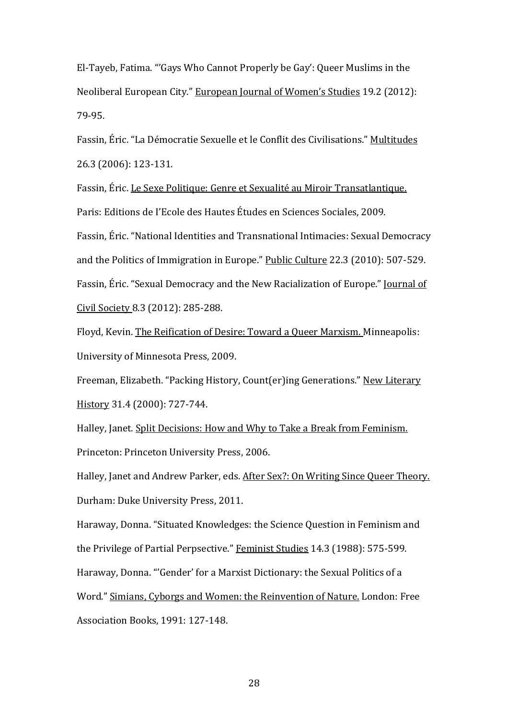El-Tayeb, Fatima. "'Gays Who Cannot Properly be Gay': Queer Muslims in the Neoliberal European City." European Journal of Women's Studies 19.2 (2012): 79-95.

Fassin, Éric. "La Démocratie Sexuelle et le Conflit des Civilisations." Multitudes 26.3 (2006): 123-131.

Fassin, Éric. Le Sexe Politique: Genre et Sexualité au Miroir Transatlantique. Paris: Editions de I'Ecole des Hautes Études en Sciences Sociales, 2009. Fassin, Éric. "National Identities and Transnational Intimacies: Sexual Democracy and the Politics of Immigration in Europe." Public Culture 22.3 (2010): 507-529. Fassin, Éric. "Sexual Democracy and the New Racialization of Europe." Journal of Civil Society 8.3 (2012): 285-288.

Floyd, Kevin. The Reification of Desire: Toward a Queer Marxism. Minneapolis: University of Minnesota Press, 2009.

Freeman, Elizabeth. "Packing History, Count(er)ing Generations." New Literary History 31.4 (2000): 727-744.

Halley, Janet. Split Decisions: How and Why to Take a Break from Feminism. Princeton: Princeton University Press, 2006.

Halley, Janet and Andrew Parker, eds. After Sex?: On Writing Since Queer Theory. Durham: Duke University Press, 2011.

Haraway, Donna. "Situated Knowledges: the Science Question in Feminism and the Privilege of Partial Perpsective." Feminist Studies 14.3 (1988): 575-599. Haraway, Donna. "'Gender' for a Marxist Dictionary: the Sexual Politics of a Word." Simians, Cyborgs and Women: the Reinvention of Nature. London: Free Association Books, 1991: 127-148.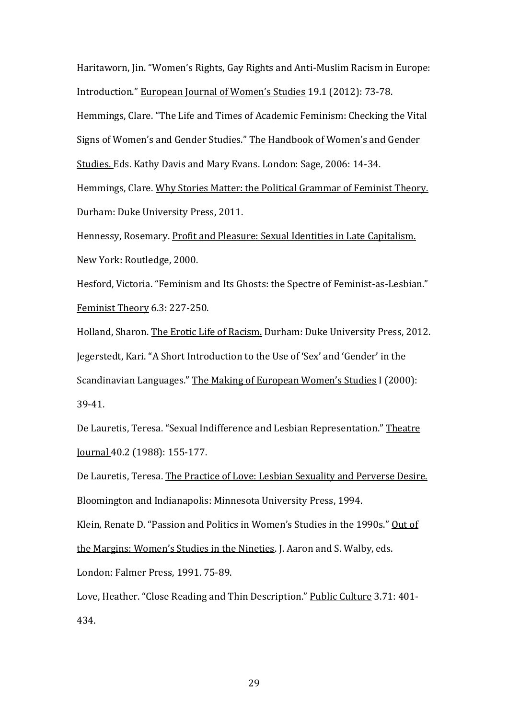Haritaworn, Jin. "Women's Rights, Gay Rights and Anti-Muslim Racism in Europe: Introduction." European Journal of Women's Studies 19.1 (2012): 73-78. Hemmings, Clare. "The Life and Times of Academic Feminism: Checking the Vital Signs of Women's and Gender Studies." The Handbook of Women's and Gender Studies. Eds. Kathy Davis and Mary Evans. London: Sage, 2006: 14-34. Hemmings, Clare. Why Stories Matter: the Political Grammar of Feminist Theory. Durham: Duke University Press, 2011.

Hennessy, Rosemary. Profit and Pleasure: Sexual Identities in Late Capitalism. New York: Routledge, 2000.

Hesford, Victoria. "Feminism and Its Ghosts: the Spectre of Feminist-as-Lesbian." Feminist Theory 6.3: 227-250.

Holland, Sharon. The Erotic Life of Racism. Durham: Duke University Press, 2012. Jegerstedt, Kari. "A Short Introduction to the Use of 'Sex' and 'Gender' in the Scandinavian Languages." The Making of European Women's Studies I (2000): 39-41.

De Lauretis, Teresa. "Sexual Indifference and Lesbian Representation." Theatre Journal 40.2 (1988): 155-177.

De Lauretis, Teresa. The Practice of Love: Lesbian Sexuality and Perverse Desire. Bloomington and Indianapolis: Minnesota University Press, 1994. Klein, Renate D. "Passion and Politics in Women's Studies in the 1990s." Out of the Margins: Women's Studies in the Nineties. J. Aaron and S. Walby, eds. London: Falmer Press, 1991. 75-89.

Love, Heather. "Close Reading and Thin Description." Public Culture 3.71: 401- 434.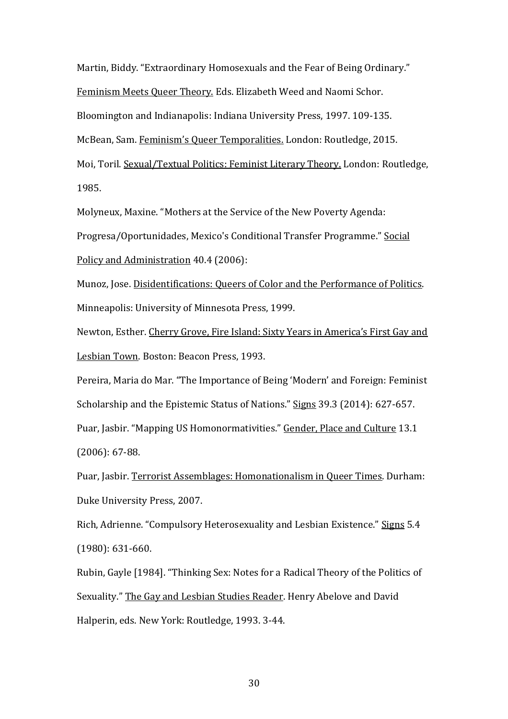Martin, Biddy. "Extraordinary Homosexuals and the Fear of Being Ordinary." Feminism Meets Queer Theory. Eds. Elizabeth Weed and Naomi Schor. Bloomington and Indianapolis: Indiana University Press, 1997. 109-135. McBean, Sam. Feminism's Queer Temporalities. London: Routledge, 2015. Moi, Toril. Sexual/Textual Politics: Feminist Literary Theory. London: Routledge, 1985.

Molyneux, Maxine. "Mothers at the Service of the New Poverty Agenda:

Progresa/Oportunidades, Mexico's Conditional Transfer Programme." Social

Policy and Administration 40.4 (2006):

Munoz, Jose. Disidentifications: Queers of Color and the Performance of Politics. Minneapolis: University of Minnesota Press, 1999.

Newton, Esther. Cherry Grove, Fire Island: Sixty Years in America's First Gay and Lesbian Town. Boston: Beacon Press, 1993.

Pereira, Maria do Mar. "The Importance of Being 'Modern' and Foreign: Feminist Scholarship and the Epistemic Status of Nations." Signs 39.3 (2014): 627-657. Puar, Jasbir. "Mapping US Homonormativities." Gender, Place and Culture 13.1

(2006): 67-88.

Puar, Jasbir. Terrorist Assemblages: Homonationalism in Queer Times. Durham: Duke University Press, 2007.

Rich, Adrienne. "Compulsory Heterosexuality and Lesbian Existence." Signs 5.4 (1980): 631-660.

Rubin, Gayle [1984]. "Thinking Sex: Notes for a Radical Theory of the Politics of Sexuality." The Gay and Lesbian Studies Reader. Henry Abelove and David Halperin, eds. New York: Routledge, 1993. 3-44.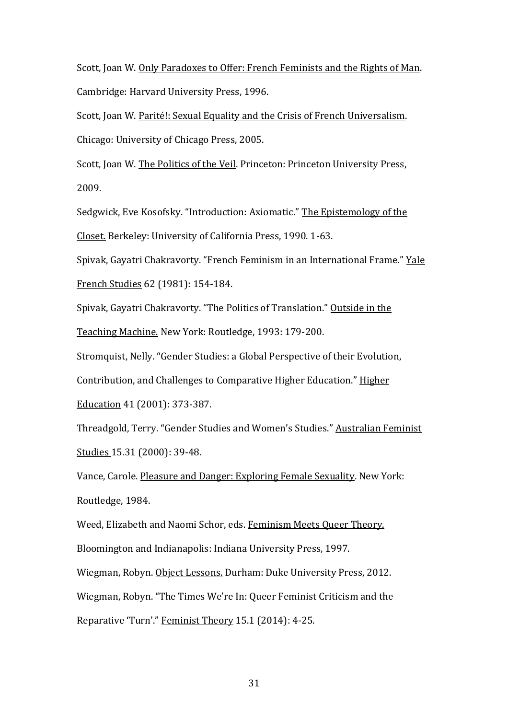Scott, Joan W. Only Paradoxes to Offer: French Feminists and the Rights of Man. Cambridge: Harvard University Press, 1996.

Scott, Joan W. Parité!: Sexual Equality and the Crisis of French Universalism. Chicago: University of Chicago Press, 2005.

Scott, Joan W. The Politics of the Veil. Princeton: Princeton University Press, 2009.

Sedgwick, Eve Kosofsky. "Introduction: Axiomatic." The Epistemology of the Closet. Berkeley: University of California Press, 1990. 1-63.

Spivak, Gayatri Chakravorty. "French Feminism in an International Frame." Yale French Studies 62 (1981): 154-184.

Spivak, Gayatri Chakravorty. "The Politics of Translation." Outside in the Teaching Machine. New York: Routledge, 1993: 179-200.

Stromquist, Nelly. "Gender Studies: a Global Perspective of their Evolution,

Contribution, and Challenges to Comparative Higher Education." Higher

Education 41 (2001): 373-387.

Threadgold, Terry. "Gender Studies and Women's Studies." Australian Feminist Studies 15.31 (2000): 39-48.

Vance, Carole. Pleasure and Danger: Exploring Female Sexuality. New York: Routledge, 1984.

Weed, Elizabeth and Naomi Schor, eds. Feminism Meets Queer Theory. Bloomington and Indianapolis: Indiana University Press, 1997.

Wiegman, Robyn. Object Lessons. Durham: Duke University Press, 2012.

Wiegman, Robyn. "The Times We're In: Queer Feminist Criticism and the

Reparative 'Turn'." Feminist Theory 15.1 (2014): 4-25.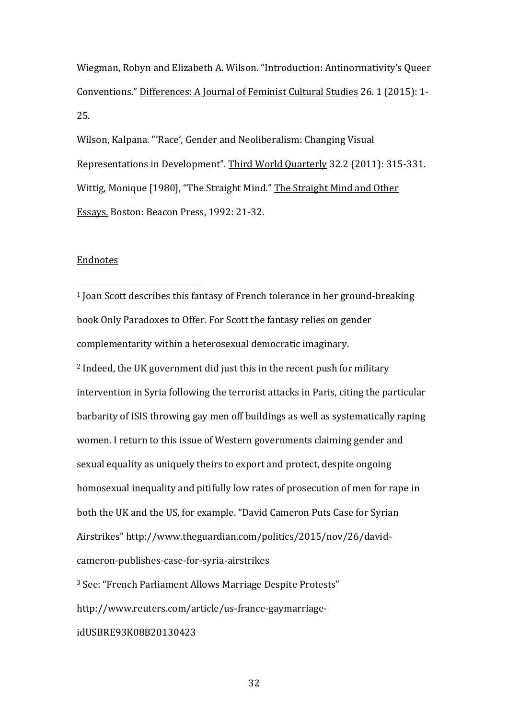Wiegman, Robyn and Elizabeth A. Wilson. "Introduction: Antinormativity's Queer Conventions." Differences: A Journal of Feminist Cultural Studies 26. 1 (2015): 1- 25.

Wilson, Kalpana. "'Race', Gender and Neoliberalism: Changing Visual Representations in Development". Third World Quarterly 32.2 (2011): 315-331. Wittig, Monique [1980], "The Straight Mind." The Straight Mind and Other Essays. Boston: Beacon Press, 1992: 21-32.

## Endnotes

 $\overline{a}$ 

<sup>1</sup> Joan Scott describes this fantasy of French tolerance in her ground-breaking book Only Paradoxes to Offer. For Scott the fantasy relies on gender complementarity within a heterosexual democratic imaginary. <sup>2</sup> Indeed, the UK government did just this in the recent push for military intervention in Syria following the terrorist attacks in Paris, citing the particular barbarity of ISIS throwing gay men off buildings as well as systematically raping women. I return to this issue of Western governments claiming gender and sexual equality as uniquely theirs to export and protect, despite ongoing homosexual inequality and pitifully low rates of prosecution of men for rape in both the UK and the US, for example. "David Cameron Puts Case for Syrian Airstrikes" http://www.theguardian.com/politics/2015/nov/26/davidcameron-publishes-case-for-syria-airstrikes <sup>3</sup> See: "French Parliament Allows Marriage Despite Protests"

http://www.reuters.com/article/us-france-gaymarriage-

idUSBRE93K08B20130423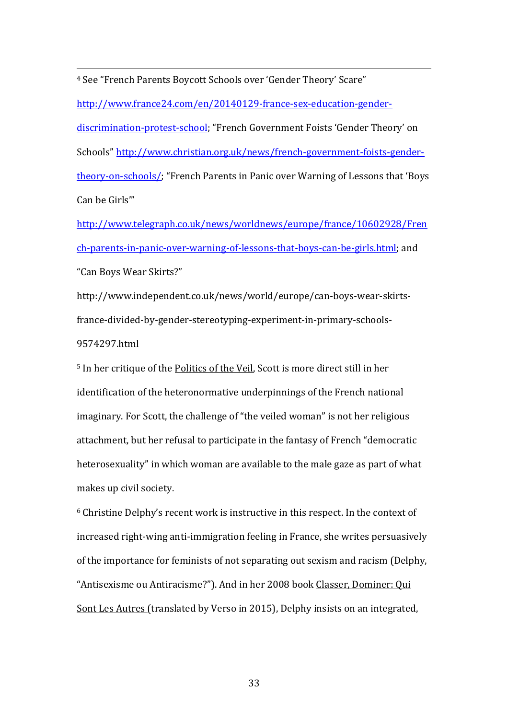<sup>4</sup> See "French Parents Boycott Schools over 'Gender Theory' Scare"

 $\overline{a}$ 

[http://www.france24.com/en/20140129-france-sex-education-gender-](http://www.france24.com/en/20140129-france-sex-education-gender-discrimination-protest-school)

[discrimination-protest-school](http://www.france24.com/en/20140129-france-sex-education-gender-discrimination-protest-school); "French Government Foists 'Gender Theory' on Schools" [http://www.christian.org.uk/news/french-government-foists-gender](http://www.christian.org.uk/news/french-government-foists-gender-theory-on-schools/)[theory-on-schools/](http://www.christian.org.uk/news/french-government-foists-gender-theory-on-schools/); "French Parents in Panic over Warning of Lessons that 'Boys Can be Girls'"

[http://www.telegraph.co.uk/news/worldnews/europe/france/10602928/Fren](http://www.telegraph.co.uk/news/worldnews/europe/france/10602928/French-parents-in-panic-over-warning-of-lessons-that-boys-can-be-girls.html) [ch-parents-in-panic-over-warning-of-lessons-that-boys-can-be-girls.html;](http://www.telegraph.co.uk/news/worldnews/europe/france/10602928/French-parents-in-panic-over-warning-of-lessons-that-boys-can-be-girls.html) and "Can Boys Wear Skirts?"

http://www.independent.co.uk/news/world/europe/can-boys-wear-skirtsfrance-divided-by-gender-stereotyping-experiment-in-primary-schools-9574297.html

<sup>5</sup> In her critique of the Politics of the Veil, Scott is more direct still in her identification of the heteronormative underpinnings of the French national imaginary. For Scott, the challenge of "the veiled woman" is not her religious attachment, but her refusal to participate in the fantasy of French "democratic heterosexuality" in which woman are available to the male gaze as part of what makes up civil society.

<sup>6</sup> Christine Delphy's recent work is instructive in this respect. In the context of increased right-wing anti-immigration feeling in France, she writes persuasively of the importance for feminists of not separating out sexism and racism (Delphy, "Antisexisme ou Antiracisme?"). And in her 2008 book Classer, Dominer: Qui Sont Les Autres (translated by Verso in 2015), Delphy insists on an integrated,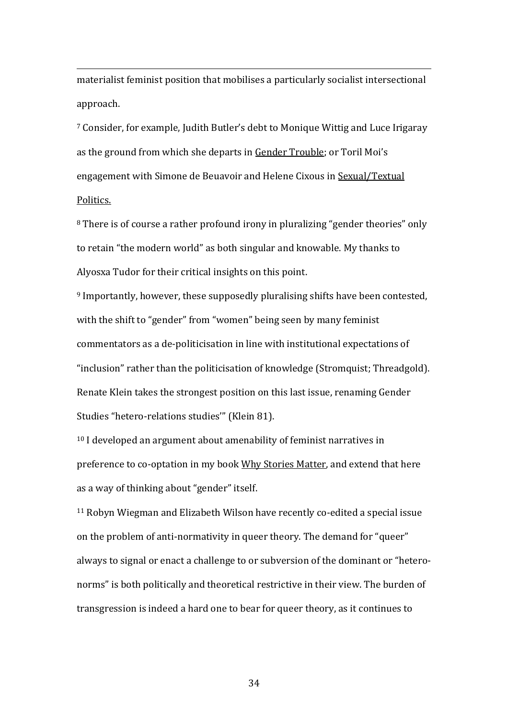materialist feminist position that mobilises a particularly socialist intersectional approach.

 $\overline{a}$ 

<sup>7</sup> Consider, for example, Judith Butler's debt to Monique Wittig and Luce Irigaray as the ground from which she departs in Gender Trouble; or Toril Moi's engagement with Simone de Beuavoir and Helene Cixous in Sexual/Textual Politics.

<sup>8</sup> There is of course a rather profound irony in pluralizing "gender theories" only to retain "the modern world" as both singular and knowable. My thanks to Alyosxa Tudor for their critical insights on this point.

<sup>9</sup> Importantly, however, these supposedly pluralising shifts have been contested, with the shift to "gender" from "women" being seen by many feminist commentators as a de-politicisation in line with institutional expectations of "inclusion" rather than the politicisation of knowledge (Stromquist; Threadgold). Renate Klein takes the strongest position on this last issue, renaming Gender Studies "hetero-relations studies'" (Klein 81).

<sup>10</sup> I developed an argument about amenability of feminist narratives in preference to co-optation in my book Why Stories Matter, and extend that here as a way of thinking about "gender" itself.

<sup>11</sup> Robyn Wiegman and Elizabeth Wilson have recently co-edited a special issue on the problem of anti-normativity in queer theory. The demand for "queer" always to signal or enact a challenge to or subversion of the dominant or "heteronorms" is both politically and theoretical restrictive in their view. The burden of transgression is indeed a hard one to bear for queer theory, as it continues to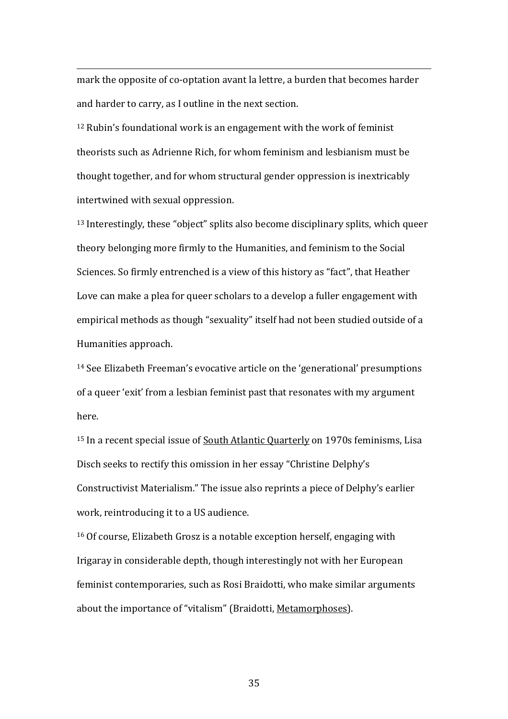mark the opposite of co-optation avant la lettre, a burden that becomes harder and harder to carry, as I outline in the next section.

 $\overline{a}$ 

<sup>12</sup> Rubin's foundational work is an engagement with the work of feminist theorists such as Adrienne Rich, for whom feminism and lesbianism must be thought together, and for whom structural gender oppression is inextricably intertwined with sexual oppression.

<sup>13</sup> Interestingly, these "object" splits also become disciplinary splits, which queer theory belonging more firmly to the Humanities, and feminism to the Social Sciences. So firmly entrenched is a view of this history as "fact", that Heather Love can make a plea for queer scholars to a develop a fuller engagement with empirical methods as though "sexuality" itself had not been studied outside of a Humanities approach.

<sup>14</sup> See Elizabeth Freeman's evocative article on the 'generational' presumptions of a queer 'exit' from a lesbian feminist past that resonates with my argument here.

<sup>15</sup> In a recent special issue of <u>South Atlantic Quarterly</u> on 1970s feminisms, Lisa Disch seeks to rectify this omission in her essay "Christine Delphy's Constructivist Materialism." The issue also reprints a piece of Delphy's earlier work, reintroducing it to a US audience.

<sup>16</sup> Of course, Elizabeth Grosz is a notable exception herself, engaging with Irigaray in considerable depth, though interestingly not with her European feminist contemporaries, such as Rosi Braidotti, who make similar arguments about the importance of "vitalism" (Braidotti, Metamorphoses).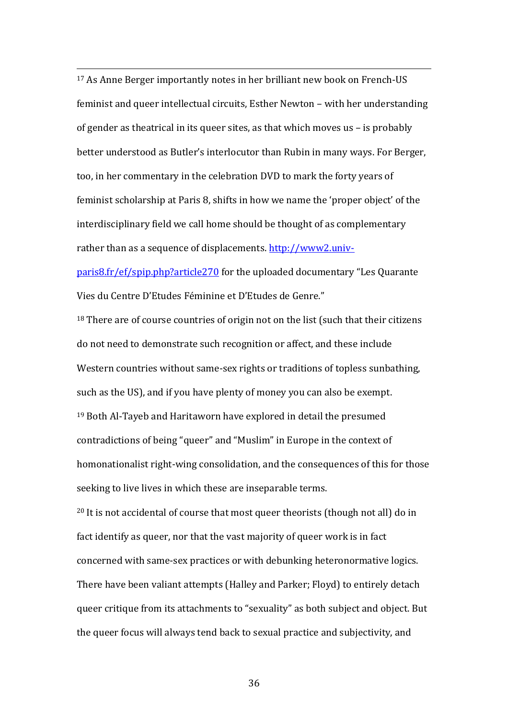<sup>17</sup> As Anne Berger importantly notes in her brilliant new book on French-US feminist and queer intellectual circuits, Esther Newton – with her understanding of gender as theatrical in its queer sites, as that which moves us – is probably better understood as Butler's interlocutor than Rubin in many ways. For Berger, too, in her commentary in the celebration DVD to mark the forty years of feminist scholarship at Paris 8, shifts in how we name the 'proper object' of the interdisciplinary field we call home should be thought of as complementary rather than as a sequence of displacements. [http://www2.univ-](http://www2.univ-paris8.fr/ef/spip.php?article270)

 $\overline{a}$ 

[paris8.fr/ef/spip.php?article270](http://www2.univ-paris8.fr/ef/spip.php?article270) for the uploaded documentary "Les Quarante Vies du Centre D'Etudes Féminine et D'Etudes de Genre."

<sup>18</sup> There are of course countries of origin not on the list (such that their citizens do not need to demonstrate such recognition or affect, and these include Western countries without same-sex rights or traditions of topless sunbathing, such as the US), and if you have plenty of money you can also be exempt. <sup>19</sup> Both Al-Tayeb and Haritaworn have explored in detail the presumed contradictions of being "queer" and "Muslim" in Europe in the context of homonationalist right-wing consolidation, and the consequences of this for those seeking to live lives in which these are inseparable terms.

<sup>20</sup> It is not accidental of course that most queer theorists (though not all) do in fact identify as queer, nor that the vast majority of queer work is in fact concerned with same-sex practices or with debunking heteronormative logics. There have been valiant attempts (Halley and Parker; Floyd) to entirely detach queer critique from its attachments to "sexuality" as both subject and object. But the queer focus will always tend back to sexual practice and subjectivity, and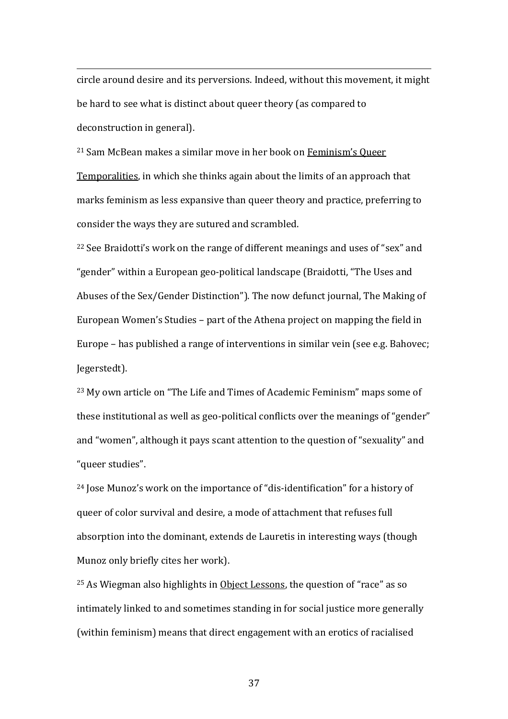circle around desire and its perversions. Indeed, without this movement, it might be hard to see what is distinct about queer theory (as compared to deconstruction in general).

 $\overline{a}$ 

<sup>21</sup> Sam McBean makes a similar move in her book on Feminism's Queer Temporalities, in which she thinks again about the limits of an approach that marks feminism as less expansive than queer theory and practice, preferring to consider the ways they are sutured and scrambled.

<sup>22</sup> See Braidotti's work on the range of different meanings and uses of "sex" and "gender" within a European geo-political landscape (Braidotti, "The Uses and Abuses of the Sex/Gender Distinction"). The now defunct journal, The Making of European Women's Studies – part of the Athena project on mapping the field in Europe – has published a range of interventions in similar vein (see e.g. Bahovec; Jegerstedt).

<sup>23</sup> My own article on "The Life and Times of Academic Feminism" maps some of these institutional as well as geo-political conflicts over the meanings of "gender" and "women", although it pays scant attention to the question of "sexuality" and "queer studies".

<sup>24</sup> Jose Munoz's work on the importance of "dis-identification" for a history of queer of color survival and desire, a mode of attachment that refuses full absorption into the dominant, extends de Lauretis in interesting ways (though Munoz only briefly cites her work).

<sup>25</sup> As Wiegman also highlights in Object Lessons, the question of "race" as so intimately linked to and sometimes standing in for social justice more generally (within feminism) means that direct engagement with an erotics of racialised